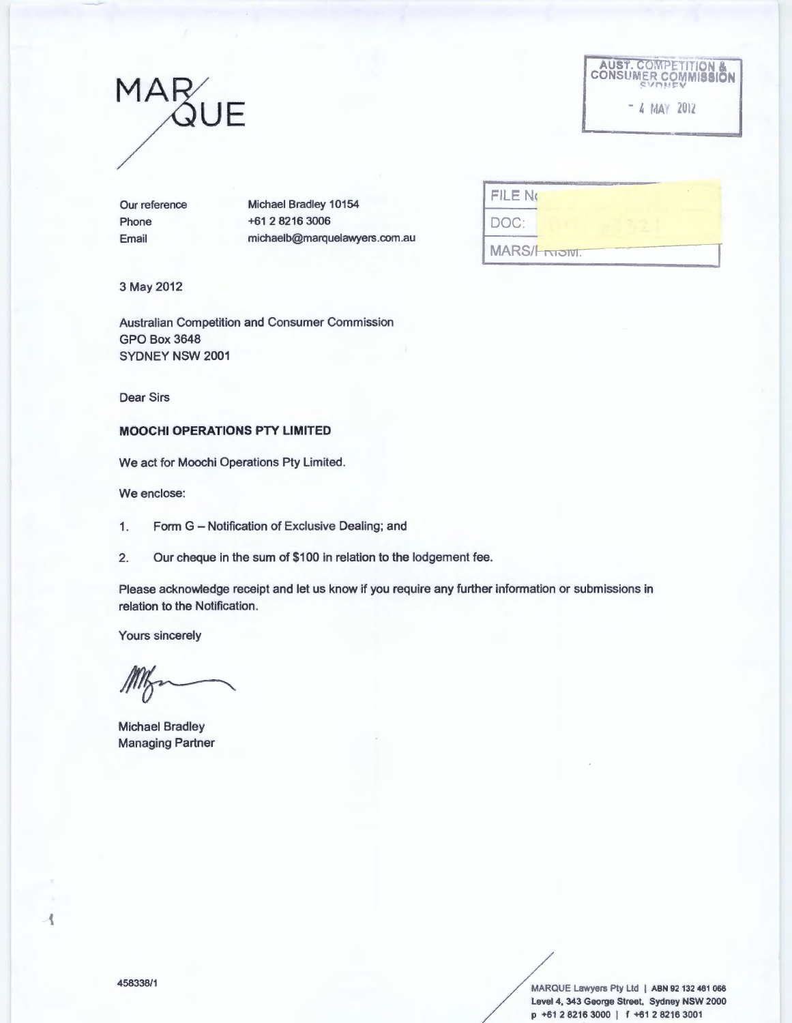# MAR<sub>QUE</sub>



J

Our reference Phone Email

Michael Bradley 10154 +61 2 8216 3006 michaelb@marquelawyers.com.au

| <b>FILE NO</b>         |  |
|------------------------|--|
| DOC:                   |  |
| <b>MARS/Friedright</b> |  |

3 May 2012

Australian Competition and Consumer Commission GPO Box3648 SYDNEY NSW 2001

Dear Sirs

# **MOOCHI OPERATIONS PTY LIMITED**

We act for Moochi Operations Pty Limited.

We enclose:

1. Form G - Notification of Exclusive Dealing; and

2. Our cheque in the sum of \$100 in relation to the lodgement fee.

Please acknowledge receipt and let us know if you require any further information or submissions in relation to the Notification.

Yours sincerely

Michael Bradley Managing Partner

458338/1 MARQUE Lawyers Pty Ltd | ABN 92 132 461 066 Level 4, 343 George Street. Sydney NSW 2000 p +61 2 8216 3000 1 *t* +61 2 8216 3001

ł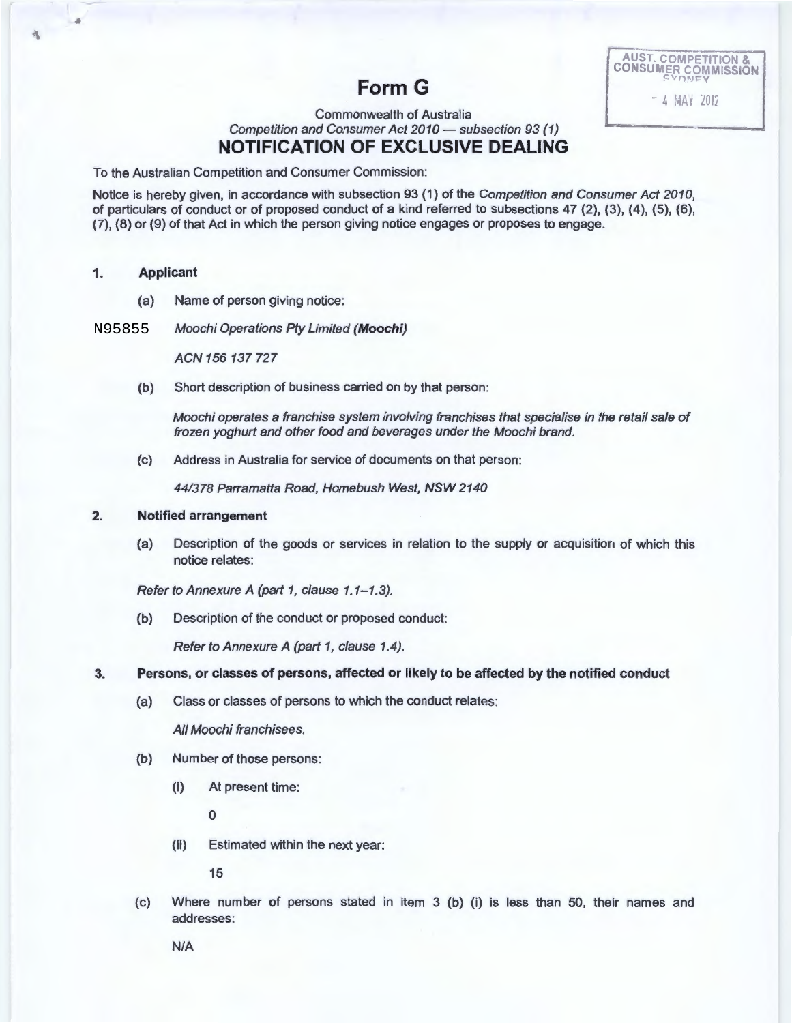AUST. COMPETITION & CONSUMER COMMISSION  $-4$  MAY 2012

# **Form G**

# Commonwealth of Australia Competition and Consumer Act 2010 - subsection 93 (1) **NOTIFICATION OF EXCLUSIVE DEALING**

To the Australian Competition and Consumer Commission:

Notice is hereby given, in accordance with subsection 93 (1) of the Competition and Consumer Act 2010, of particulars of conduct or of proposed conduct of a kind referred to subsections 47 (2), (3), (4), (5), (6), (7), (8} or (9) of that Act in which the person giving notice engages or proposes to engage.

#### **1. Applicant**

盘

(a) Name of person giving notice:

Moochi Operations Ply Limited **(Moochi)**  N95855

ACN 156 137 727

(b) Short description of business carried on by that person:

Moochi operates a franchise system involving franchises that specialise in the retail sale of frozen yoghurt and other food and beverages under the Moochi brand.

(c) Address in Australia for service of documents on that person:

44/378 Parramatta Road, Homebush West, NSW 2140

#### **2. Notified arrangement**

(a) Description of the goods or services in relation to the supply or acquisition of which this notice relates:

Refer to Annexure A (part 1, clause 1.1-1.3).

(b) Description of the conduct or proposed conduct:

Refer to Annexure A (part 1, clause 1.4).

# **3. Persons, or classes of persons, affected or likely to be affected by the notified conduct**

(a) Class or classes of persons to which the conduct relates :

All Moochi franchisees.

- (b) Number of those persons:
	- (i) At present time:

0

(ii) Estimated within the next year:

15

(c) Where number of persons stated in item 3 (b) (i) is less than 50, their names and addresses:

N/A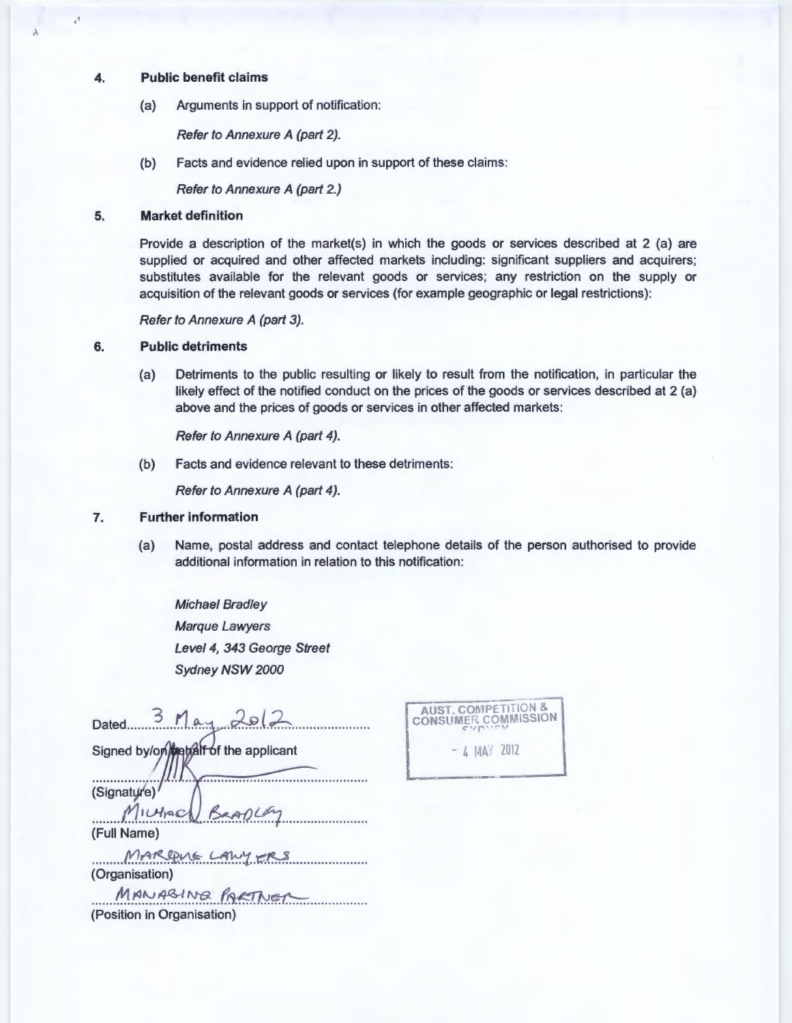#### 4. Public benefit claims

 $\lambda$ 

 $\mathbf{r}$ 

(a) Arguments in support of notification:

Refer to Annexure A (part 2).

(b) Facts and evidence relied upon in support of these claims:

Refer to Annexure A (part 2.)

# 5. Market definition

Provide a description of the market(s) in which the goods or services described at 2 (a) are supplied or acquired and other affected markets including: significant suppliers and acquirers; substitutes available for the relevant goods or services; any restriction on the supply or acquisition of the relevant goods or services (for example geographic or legal restrictions):

Refer to Annexure A (part 3).

### 6. Public detriments

(a) Detriments to the public resulting or likely to result from the notification, in particular the likely effect of the notified conduct on the prices of the goods or services described at 2 (a) above and the prices of goods or services in other affected markets:

Refer to Annexure A (part 4).

(b) Facts and evidence relevant to these detriments:

Refer to Annexure A (part 4).

# 7. Further information

(a) Name, postal address and contact telephone details of the person authorised to provide additional information in relation to this notification:

Michael Bradley Marque Lawyers Level 4, 343 George Street Sydney NSW 2000

| Dated $\frac{3}{2}$ May 2012                   |
|------------------------------------------------|
| Signed by/on/met/alf of the applicant          |
| (Signature)<br>MILHAC BRADLEY<br>(Full Name)   |
| MARDUE LAWY ERS<br>(Organisation)              |
| MANABING PARTNER<br>(Position in Organisation) |

AUST. COMPETITION &<br>CONSUMER COMMISSION  $- 4$  MAY 2012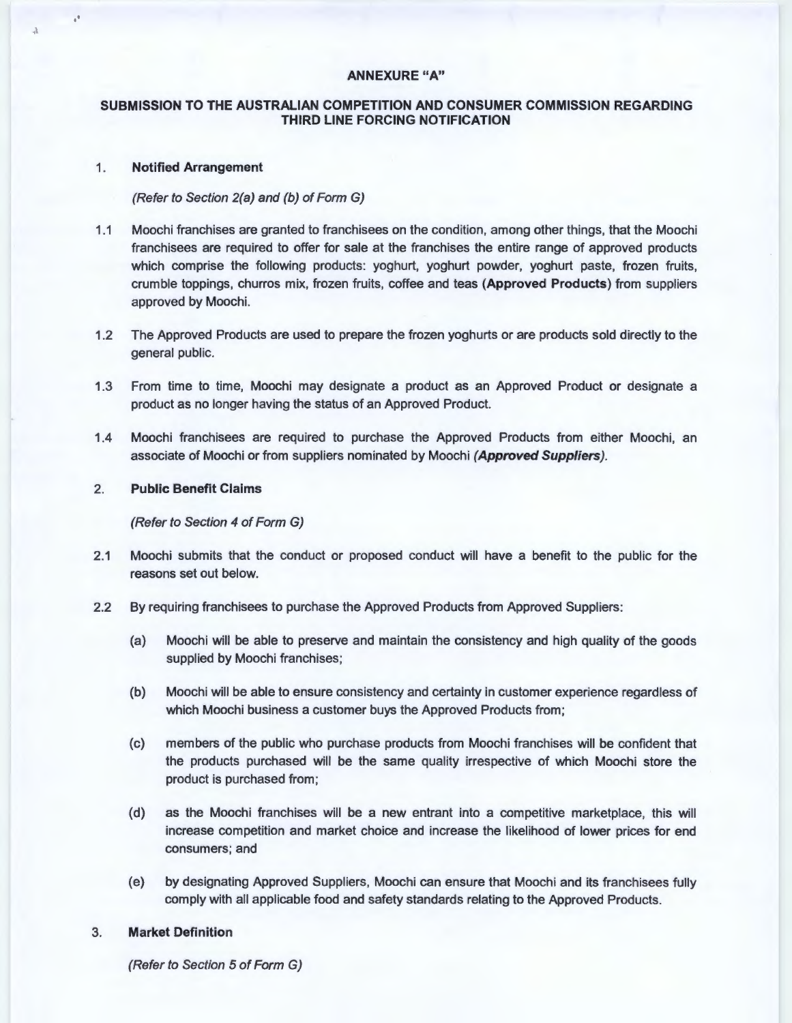# **ANNEXURE "A"**

# **SUBMISSION TO THE AUSTRALIAN COMPETITION AND CONSUMER COMMISSION REGARDING THIRD LINE FORCING NOTIFICATION**

#### 1 . **Notified Arrangement**

 $\mathbf{r}$ 

# (Refer to Section 2(a) and (b) of Form G)

- 1.1 Moochi franchises are granted to franchisees on the condition, among other things, that the Moochi franchisees are required to offer for sale at the franchises the entire range of approved products which comprise the following products: yoghurt, yoghurt powder, yoghurt paste, frozen fruits, crumble toppings, churros mix, frozen fruits, coffee and teas **(Approved Products)** from suppliers approved by Moochi.
- 1.2 The Approved Products are used to prepare the frozen yoghurts or are products sold directly to the general public.
- 1.3 From time to time, Moochi may designate a product as an Approved Product or designate a product as no longer having the status of an Approved Product.
- 1.4 Moochi franchisees are required to purchase the Approved Products from either Moochi, an associate of Moochi or from suppliers nominated by Moochi **(Approved Suppliers).**

### 2. **Public Benefit Claims**

#### (Refer to Section 4 of Form G)

- 2.1 Moochi submits that the conduct or proposed conduct will have a benefit to the public for the reasons set out below.
- 2.2 By requiring franchisees to purchase the Approved Products from Approved Suppliers:
	- (a) Moochi will be able to preserve and maintain the consistency and high quality of the goods supplied by Moochi franchises;
	- (b) Moochi will be able to ensure consistency and certainty in customer experience regardless of which Moochi business a customer buys the Approved Products from;
	- (c) members of the public who purchase products from Moochi franchises will be confident that the products purchased will be the same quality irrespective of which Moochi store the product is purchased from;
	- {d) as the Moochi franchises will be a new entrant into a competitive marketplace, this will increase competition and market choice and increase the likelihood of lower prices for end consumers; and
	- (e) by designating Approved Suppliers, Moochi can ensure that Moochi and its franchisees fully comply with all applicable food and safety standards relating to the Approved Products.

# 3. **Market Definition**

(Refer to Section 5 of Form G)